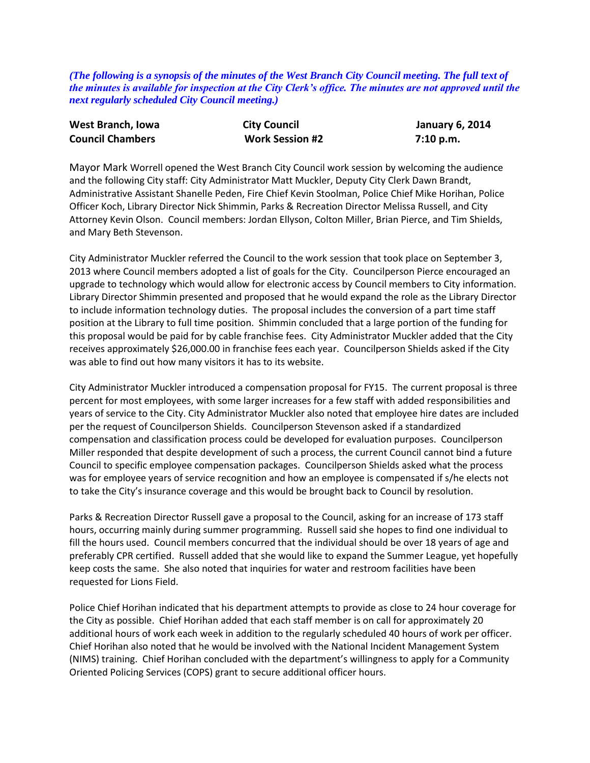*(The following is a synopsis of the minutes of the West Branch City Council meeting. The full text of the minutes is available for inspection at the City Clerk's office. The minutes are not approved until the next regularly scheduled City Council meeting.)*

| West Branch, Iowa       | <b>City Council</b>    | <b>January 6, 2014</b> |
|-------------------------|------------------------|------------------------|
| <b>Council Chambers</b> | <b>Work Session #2</b> | 7:10 p.m.              |

Mayor Mark Worrell opened the West Branch City Council work session by welcoming the audience and the following City staff: City Administrator Matt Muckler, Deputy City Clerk Dawn Brandt, Administrative Assistant Shanelle Peden, Fire Chief Kevin Stoolman, Police Chief Mike Horihan, Police Officer Koch, Library Director Nick Shimmin, Parks & Recreation Director Melissa Russell, and City Attorney Kevin Olson. Council members: Jordan Ellyson, Colton Miller, Brian Pierce, and Tim Shields, and Mary Beth Stevenson.

City Administrator Muckler referred the Council to the work session that took place on September 3, 2013 where Council members adopted a list of goals for the City. Councilperson Pierce encouraged an upgrade to technology which would allow for electronic access by Council members to City information. Library Director Shimmin presented and proposed that he would expand the role as the Library Director to include information technology duties. The proposal includes the conversion of a part time staff position at the Library to full time position. Shimmin concluded that a large portion of the funding for this proposal would be paid for by cable franchise fees. City Administrator Muckler added that the City receives approximately \$26,000.00 in franchise fees each year. Councilperson Shields asked if the City was able to find out how many visitors it has to its website.

City Administrator Muckler introduced a compensation proposal for FY15. The current proposal is three percent for most employees, with some larger increases for a few staff with added responsibilities and years of service to the City. City Administrator Muckler also noted that employee hire dates are included per the request of Councilperson Shields. Councilperson Stevenson asked if a standardized compensation and classification process could be developed for evaluation purposes. Councilperson Miller responded that despite development of such a process, the current Council cannot bind a future Council to specific employee compensation packages. Councilperson Shields asked what the process was for employee years of service recognition and how an employee is compensated if s/he elects not to take the City's insurance coverage and this would be brought back to Council by resolution.

Parks & Recreation Director Russell gave a proposal to the Council, asking for an increase of 173 staff hours, occurring mainly during summer programming. Russell said she hopes to find one individual to fill the hours used. Council members concurred that the individual should be over 18 years of age and preferably CPR certified. Russell added that she would like to expand the Summer League, yet hopefully keep costs the same. She also noted that inquiries for water and restroom facilities have been requested for Lions Field.

Police Chief Horihan indicated that his department attempts to provide as close to 24 hour coverage for the City as possible. Chief Horihan added that each staff member is on call for approximately 20 additional hours of work each week in addition to the regularly scheduled 40 hours of work per officer. Chief Horihan also noted that he would be involved with the National Incident Management System (NIMS) training. Chief Horihan concluded with the department's willingness to apply for a Community Oriented Policing Services (COPS) grant to secure additional officer hours.